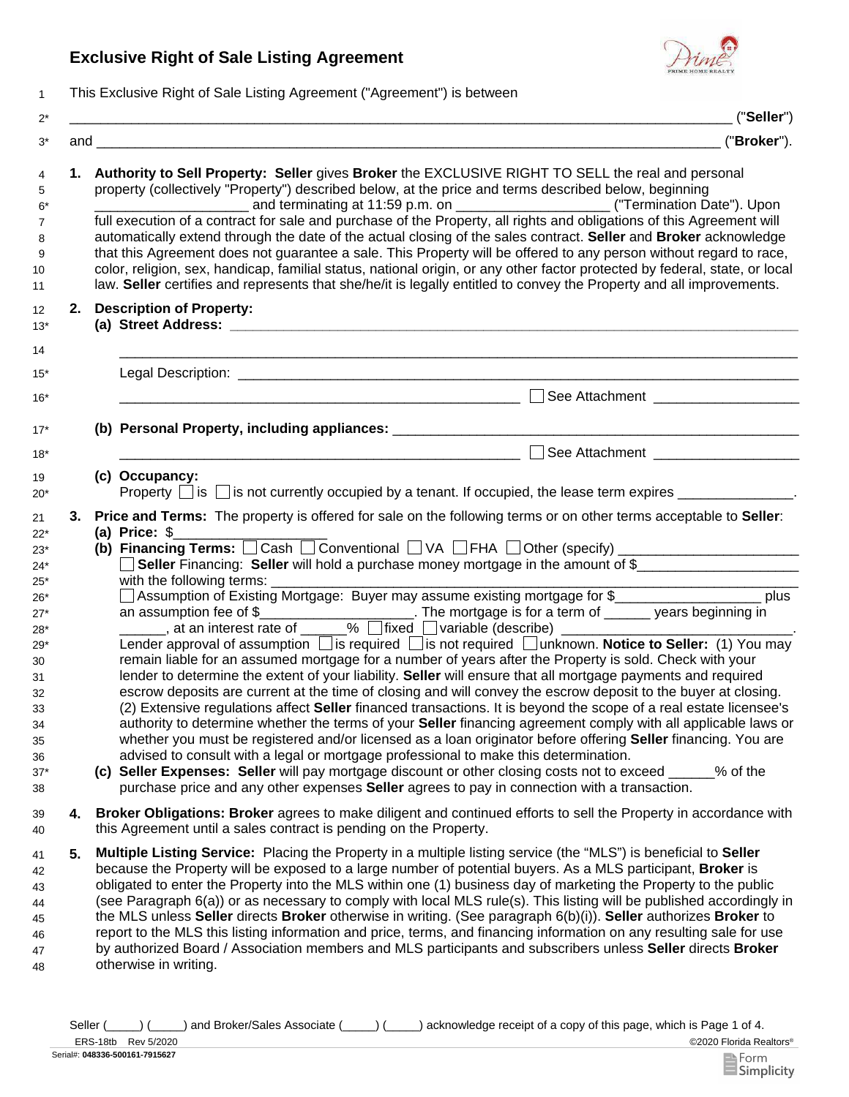## **Exclusive Right of Sale Listing Agreement**



1 This Exclusive Right of Sale Listing Agreement ("Agreement") is between

|    | ("Seller")                                                                                                                                                                                                                                                                                                                                                                                                                                                                                                                                                                                                                                                                                                                                                                                                                                                                                                                                                                                                                                                                                                                                                                                                                                                                                                                                                                                                                                                                                                                                                                                                                             |  |  |
|----|----------------------------------------------------------------------------------------------------------------------------------------------------------------------------------------------------------------------------------------------------------------------------------------------------------------------------------------------------------------------------------------------------------------------------------------------------------------------------------------------------------------------------------------------------------------------------------------------------------------------------------------------------------------------------------------------------------------------------------------------------------------------------------------------------------------------------------------------------------------------------------------------------------------------------------------------------------------------------------------------------------------------------------------------------------------------------------------------------------------------------------------------------------------------------------------------------------------------------------------------------------------------------------------------------------------------------------------------------------------------------------------------------------------------------------------------------------------------------------------------------------------------------------------------------------------------------------------------------------------------------------------|--|--|
|    | ("Broker").                                                                                                                                                                                                                                                                                                                                                                                                                                                                                                                                                                                                                                                                                                                                                                                                                                                                                                                                                                                                                                                                                                                                                                                                                                                                                                                                                                                                                                                                                                                                                                                                                            |  |  |
|    | 1. Authority to Sell Property: Seller gives Broker the EXCLUSIVE RIGHT TO SELL the real and personal<br>property (collectively "Property") described below, at the price and terms described below, beginning<br>full execution of a contract for sale and purchase of the Property, all rights and obligations of this Agreement will<br>automatically extend through the date of the actual closing of the sales contract. Seller and Broker acknowledge<br>that this Agreement does not guarantee a sale. This Property will be offered to any person without regard to race,<br>color, religion, sex, handicap, familial status, national origin, or any other factor protected by federal, state, or local<br>law. Seller certifies and represents that she/he/it is legally entitled to convey the Property and all improvements.                                                                                                                                                                                                                                                                                                                                                                                                                                                                                                                                                                                                                                                                                                                                                                                                |  |  |
|    | 2. Description of Property:                                                                                                                                                                                                                                                                                                                                                                                                                                                                                                                                                                                                                                                                                                                                                                                                                                                                                                                                                                                                                                                                                                                                                                                                                                                                                                                                                                                                                                                                                                                                                                                                            |  |  |
|    |                                                                                                                                                                                                                                                                                                                                                                                                                                                                                                                                                                                                                                                                                                                                                                                                                                                                                                                                                                                                                                                                                                                                                                                                                                                                                                                                                                                                                                                                                                                                                                                                                                        |  |  |
|    | $\Box$<br>See Attachment _____________________                                                                                                                                                                                                                                                                                                                                                                                                                                                                                                                                                                                                                                                                                                                                                                                                                                                                                                                                                                                                                                                                                                                                                                                                                                                                                                                                                                                                                                                                                                                                                                                         |  |  |
|    |                                                                                                                                                                                                                                                                                                                                                                                                                                                                                                                                                                                                                                                                                                                                                                                                                                                                                                                                                                                                                                                                                                                                                                                                                                                                                                                                                                                                                                                                                                                                                                                                                                        |  |  |
|    | See Attachment ____________________<br><u> 1980 - Jan James James Barnett, fransk politik (d. 1980)</u>                                                                                                                                                                                                                                                                                                                                                                                                                                                                                                                                                                                                                                                                                                                                                                                                                                                                                                                                                                                                                                                                                                                                                                                                                                                                                                                                                                                                                                                                                                                                |  |  |
|    | (c) Occupancy:<br>Property $\Box$ is $\Box$ is not currently occupied by a tenant. If occupied, the lease term expires $\Box$                                                                                                                                                                                                                                                                                                                                                                                                                                                                                                                                                                                                                                                                                                                                                                                                                                                                                                                                                                                                                                                                                                                                                                                                                                                                                                                                                                                                                                                                                                          |  |  |
| 3. | Price and Terms: The property is offered for sale on the following terms or on other terms acceptable to Seller:<br>(a) Price: $$$<br>(b) Financing Terms: $\Box$ Cash $\Box$ Conventional $\Box$ VA $\Box$ FHA $\Box$ Other (specify) $\Box$ $\Box$ $\Box$ $\Box$ $\Box$ $\Box$<br>Seller Financing: Seller will hold a purchase money mortgage in the amount of \$<br>□ Assumption of Existing Mortgage: Buyer may assume existing mortgage for \$______________________ plus<br>Lender approval of assumption <i>is</i> required <i>i</i> s not required <i>i</i> unknown. Notice to Seller: (1) You may<br>remain liable for an assumed mortgage for a number of years after the Property is sold. Check with your<br>lender to determine the extent of your liability. Seller will ensure that all mortgage payments and required<br>escrow deposits are current at the time of closing and will convey the escrow deposit to the buyer at closing.<br>(2) Extensive regulations affect Seller financed transactions. It is beyond the scope of a real estate licensee's<br>authority to determine whether the terms of your Seller financing agreement comply with all applicable laws or<br>whether you must be registered and/or licensed as a loan originator before offering <b>Seller</b> financing. You are<br>advised to consult with a legal or mortgage professional to make this determination.<br>(c) Seller Expenses: Seller will pay mortgage discount or other closing costs not to exceed ____<br>% of the<br>purchase price and any other expenses <b>Seller</b> agrees to pay in connection with a transaction. |  |  |
| 4. | Broker Obligations: Broker agrees to make diligent and continued efforts to sell the Property in accordance with<br>this Agreement until a sales contract is pending on the Property.                                                                                                                                                                                                                                                                                                                                                                                                                                                                                                                                                                                                                                                                                                                                                                                                                                                                                                                                                                                                                                                                                                                                                                                                                                                                                                                                                                                                                                                  |  |  |
| 5. | Multiple Listing Service: Placing the Property in a multiple listing service (the "MLS") is beneficial to Seller<br>because the Property will be exposed to a large number of potential buyers. As a MLS participant, <b>Broker</b> is<br>obligated to enter the Property into the MLS within one (1) business day of marketing the Property to the public<br>(see Paragraph 6(a)) or as necessary to comply with local MLS rule(s). This listing will be published accordingly in<br>the MLS unless Seller directs Broker otherwise in writing. (See paragraph 6(b)(i)). Seller authorizes Broker to<br>report to the MLS this listing information and price, terms, and financing information on any resulting sale for use<br>by authorized Board / Association members and MLS participants and subscribers unless Seller directs Broker<br>otherwise in writing.                                                                                                                                                                                                                                                                                                                                                                                                                                                                                                                                                                                                                                                                                                                                                                  |  |  |

©2020 Florida Realtors® Seller (\_\_\_\_) (\_\_\_\_) and Broker/Sales Associate (\_\_\_\_) (\_\_\_\_) acknowledge receipt of a copy of this page, which is Page 1 of 4.

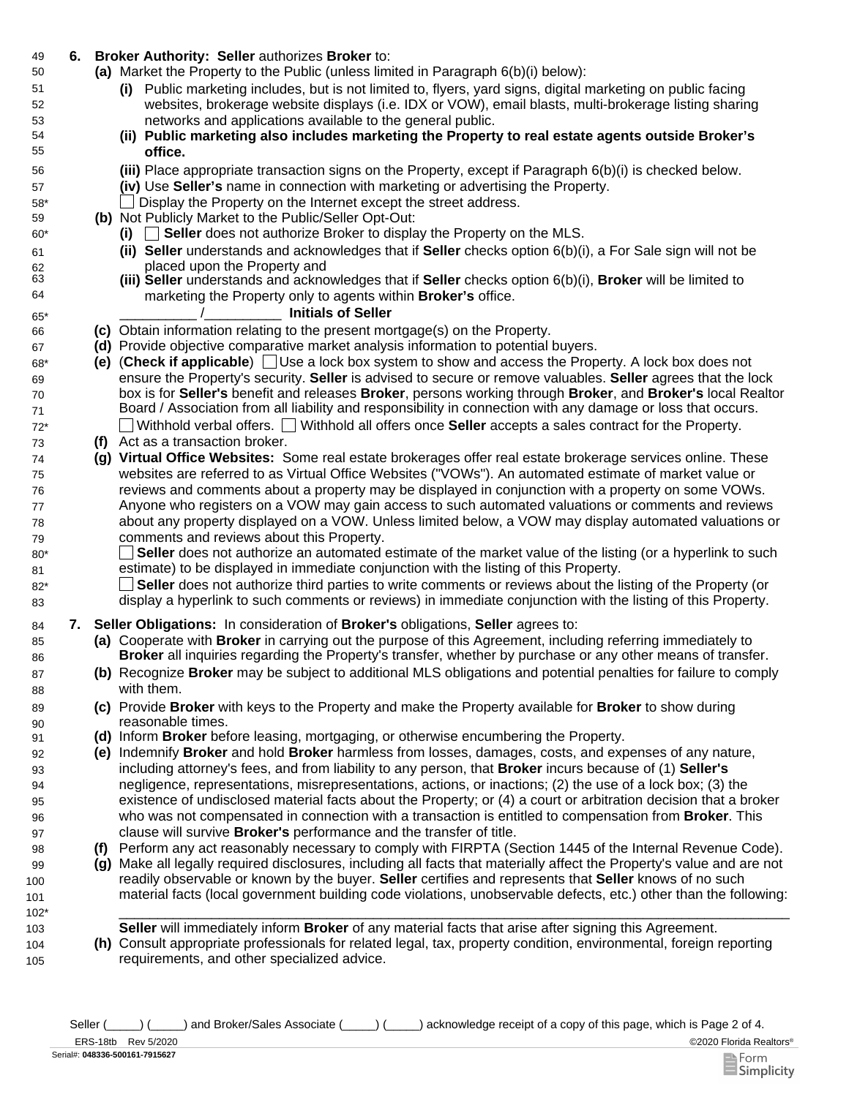## 49 **6. Broker Authority: Seller** authorizes **Broker** to:

- Market the Property to the Public (unless limited in Paragraph 6(b)(i) below): **(a)**
	- **(i)** Public marketing includes, but is not limited to, flyers, yard signs, digital marketing on public facing websites, brokerage website displays (i.e. IDX or VOW), email blasts, multi-brokerage listing sharing networks and applications available to the general public.
	- **(ii) Public marketing also includes marketing the Property to real estate agents outside Broker's office.**
	- Place appropriate transaction signs on the Property, except if Paragraph 6(b)(i) is checked below. **(iii)**
	- **(iv)** Use **Seller's** name in connection with marketing or advertising the Property.
	- \_\_ Display the Property on the Internet except the street address.
- **(b)** Not Publicly Market to the Public/Seller Opt-Out:
	- **(i)** \_\_ **Seller** does not authorize Broker to display the Property on the MLS.
	- **(ii) Seller** understands and acknowledges that if **Seller** checks option 6(b)(i), a For Sale sign will not be placed upon the Property and
	- **(iii) Seller** understands and acknowledges that if **Seller** checks option 6(b)(i), **Broker** will be limited to marketing the Property only to agents within **Broker's** office.

## \_\_\_\_\_\_\_\_\_\_ /\_\_\_\_\_\_\_\_\_\_ **Initials of Seller**

- 66 **(c)** Obtain information relating to the present mortgage(s) on the Property.
- 67 **(d)** Provide objective comparative market analysis information to potential buyers.
- 68\* **(e)** (**Check if applicable**) Use a lock box system to show and access the Property. A lock box does not ensure the Property's security. **Seller** is advised to secure or remove valuables. **Seller** agrees that the lock box is for **Seller's** benefit and releases **Broker**, persons working through **Broker**, and **Broker's** local Realtor Board / Association from all liability and responsibility in connection with any damage or loss that occurs. 72\* Withhold verbal offers. Withhold all offers once **Seller** accepts a sales contract for the Property.
- 73 **(f)** Act as a transaction broker.

69 70 71

50

51 52 53

80\* 81

85 86

87 88

89 90

99 100 101

104 105

- 74 **(g) Virtual Office Websites:** Some real estate brokerages offer real estate brokerage services online. These websites are referred to as Virtual Office Websites ("VOWs"). An automated estimate of market value or reviews and comments about a property may be displayed in conjunction with a property on some VOWs. Anyone who registers on a VOW may gain access to such automated valuations or comments and reviews about any property displayed on a VOW. Unless limited below, a VOW may display automated valuations or comments and reviews about this Property.
	- $\mathbf{L}$ **Seller** does not authorize an automated estimate of the market value of the listing (or a hyperlink to such estimate) to be displayed in immediate conjunction with the listing of this Property.
- **Seller** does not authorize third parties to write comments or reviews about the listing of the Property (or display a hyperlink to such comments or reviews) in immediate conjunction with the listing of this Property. 82\* 83
- 84 **7. Seller Obligations:** In consideration of **Broker's** obligations, **Seller** agrees to:
	- **(a)** Cooperate with **Broker** in carrying out the purpose of this Agreement, including referring immediately to **Broker** all inquiries regarding the Property's transfer, whether by purchase or any other means of transfer.
	- **(b)** Recognize **Broker** may be subject to additional MLS obligations and potential penalties for failure to comply with them.
	- **(c)** Provide **Broker** with keys to the Property and make the Property available for **Broker** to show during reasonable times.
- 91 **(d)** Inform **Broker** before leasing, mortgaging, or otherwise encumbering the Property.
	- **(e)** Indemnify **Broker** and hold **Broker** harmless from losses, damages, costs, and expenses of any nature, including attorney's fees, and from liability to any person, that **Broker** incurs because of (1) **Seller's**  negligence, representations, misrepresentations, actions, or inactions; (2) the use of a lock box; (3) the existence of undisclosed material facts about the Property; or (4) a court or arbitration decision that a broker who was not compensated in connection with a transaction is entitled to compensation from **Broker**. This clause will survive **Broker's** performance and the transfer of title.
- 98 **(f)** Perform any act reasonably necessary to comply with FIRPTA (Section 1445 of the Internal Revenue Code).
	- **(g)** Make all legally required disclosures, including all facts that materially affect the Property's value and are not readily observable or known by the buyer. **Seller** certifies and represents that **Seller** knows of no such material facts (local government building code violations, unobservable defects, etc.) other than the following:
- 102\* \_\_\_\_\_\_\_\_\_\_\_\_\_\_\_\_\_\_\_\_\_\_\_\_\_\_\_\_\_\_\_\_\_\_\_\_\_\_\_\_\_\_\_\_\_\_\_\_\_\_\_\_\_\_\_\_\_\_\_\_\_\_\_\_\_\_\_\_\_\_\_\_\_\_\_\_\_\_\_\_\_\_\_\_\_\_\_ 103 **Seller** will immediately inform **Broker** of any material facts that arise after signing this Agreement.
	- **(h)** Consult appropriate professionals for related legal, tax, property condition, environmental, foreign reporting requirements, and other specialized advice.

Seller (  $\Box$ ) (
and Broker/Sales Associate (  $\Box$ ) acknowledge receipt of a copy of this page, which is Page 2 of 4.

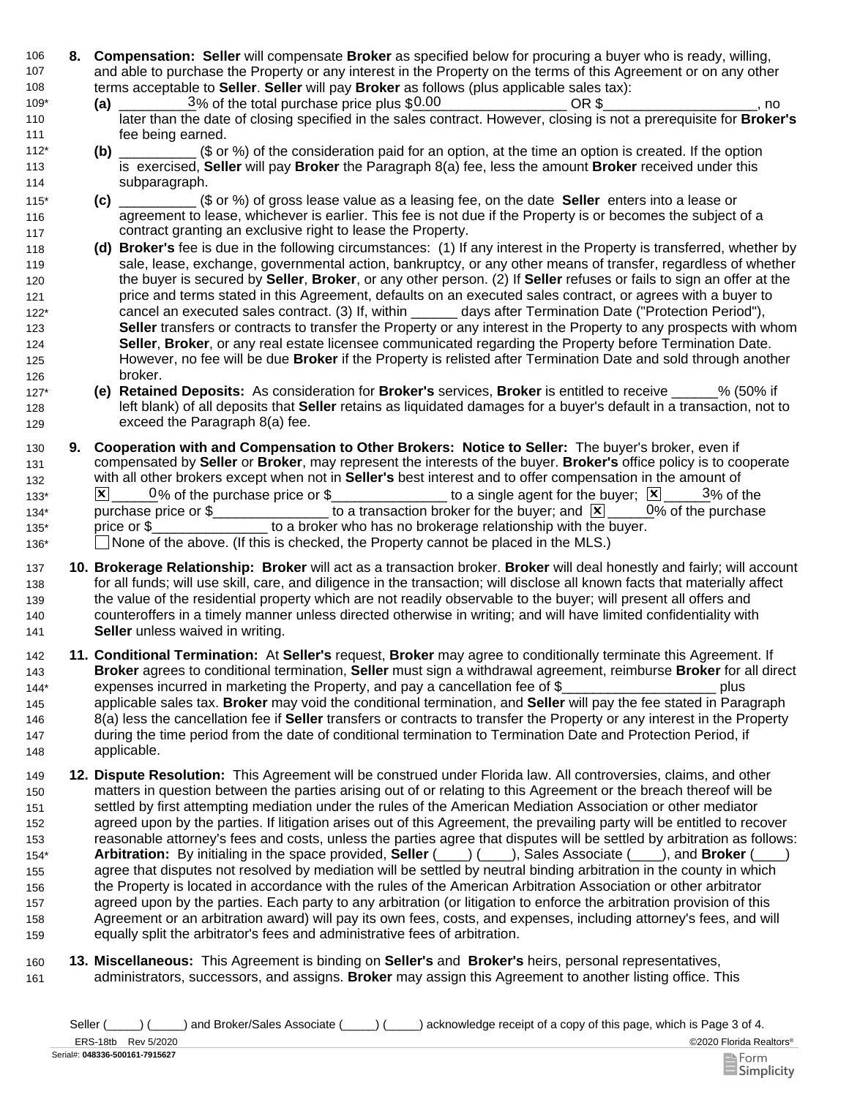- 106 **8. Compensation: Seller** will compensate **Broker** as specified below for procuring a buyer who is ready, willing, 107 108 and able to purchase the Property or any interest in the Property on the terms of this Agreement or on any other terms acceptable to **Seller**. **Seller** will pay **Broker** as follows (plus applicable sales tax):
- $\frac{3}{6}$  of the total purchase price plus  $$0.00$   $OR $$  \_\_\_\_\_\_\_\_\_\_\_\_\_\_\_, no later than the date of closing specified in the sales contract. However, closing is not a prerequisite for **Broker's** fee being earned. 109\* **(a)**  110 111
- **(b)** \_\_\_\_\_\_\_\_\_\_ (\$ or %) of the consideration paid for an option, at the time an option is created. If the option is exercised, **Seller** will pay **Broker** the Paragraph 8(a) fee, less the amount **Broker** received under this subparagraph. 112\* 113 114
- **(c)** \_\_\_\_\_\_\_\_\_\_ (\$ or %) of gross lease value as a leasing fee, on the date **Seller** enters into a lease or agreement to lease, whichever is earlier. This fee is not due if the Property is or becomes the subject of a contract granting an exclusive right to lease the Property. 115\* 116 117
- 118 **(d) Broker's** fee is due in the following circumstances: (1) If any interest in the Property is transferred, whether by 119 120 121 122\* 123 124 125 126 sale, lease, exchange, governmental action, bankruptcy, or any other means of transfer, regardless of whether the buyer is secured by **Seller**, **Broker**, or any other person. (2) If **Seller** refuses or fails to sign an offer at the price and terms stated in this Agreement, defaults on an executed sales contract, or agrees with a buyer to cancel an executed sales contract. (3) If, within \_\_\_\_\_\_ days after Termination Date ("Protection Period"), **Seller** transfers or contracts to transfer the Property or any interest in the Property to any prospects with whom **Seller**, **Broker**, or any real estate licensee communicated regarding the Property before Termination Date. However, no fee will be due **Broker** if the Property is relisted after Termination Date and sold through another broker.
- 127\* **(e) Retained Deposits:** As consideration for **Broker's** services, **Broker** is entitled to receive \_\_\_\_\_\_% (50% if 128 129 left blank) of all deposits that **Seller** retains as liquidated damages for a buyer's default in a transaction, not to exceed the Paragraph 8(a) fee.
- 130 **9.**  131 132  $133^*$   $\times$   $\boxed{\times}$   $0\%$  of the purchase price or \$\_\_\_\_\_\_\_\_\_\_\_\_\_\_\_\_\_ to a single agent for the buyer;  $\boxed{\times}$   $\boxed{\phantom{\times}}$   $3\%$  of the 134\* purchase price or \$\_\_\_\_\_\_\_\_\_\_\_\_\_\_\_\_\_ to a transaction broker for the buyer; and  $\boxed{\mathbf{X}}$  \_\_\_\_\_0% of the purchase 135\* price or \$\_\_\_\_\_\_\_\_\_\_\_\_\_\_\_\_\_ to a broker who has no brokerage relationship with the buyer. 136\* 
None of the above. (If this is checked, the Property cannot be placed in the MLS.) **Cooperation with and Compensation to Other Brokers: Notice to Seller:** The buyer's broker, even if compensated by **Seller** or **Broker**, may represent the interests of the buyer. **Broker's** office policy is to cooperate with all other brokers except when not in **Seller's** best interest and to offer compensation in the amount of  $0\%$  of the purchase
- 137 **10. Brokerage Relationship: Broker** will act as a transaction broker. **Broker** will deal honestly and fairly; will account 138 139 140 141 for all funds; will use skill, care, and diligence in the transaction; will disclose all known facts that materially affect the value of the residential property which are not readily observable to the buyer; will present all offers and counteroffers in a timely manner unless directed otherwise in writing; and will have limited confidentiality with **Seller** unless waived in writing.
- 142 **11. Conditional Termination:** At **Seller's** request, **Broker** may agree to conditionally terminate this Agreement. If 143 144\* **Broker** agrees to conditional termination, **Seller** must sign a withdrawal agreement, reimburse **Broker** for all direct expenses incurred in marketing the Property, and pay a cancellation fee of \$ plus
- 145 146 147 148 applicable sales tax. **Broker** may void the conditional termination, and **Seller** will pay the fee stated in Paragraph 8(a) less the cancellation fee if **Seller** transfers or contracts to transfer the Property or any interest in the Property during the time period from the date of conditional termination to Termination Date and Protection Period, if applicable.
- 149 **12. Dispute Resolution:** This Agreement will be construed under Florida law. All controversies, claims, and other 150 151 152 153 154\* 155 156 157 158 159 matters in question between the parties arising out of or relating to this Agreement or the breach thereof will be settled by first attempting mediation under the rules of the American Mediation Association or other mediator agreed upon by the parties. If litigation arises out of this Agreement, the prevailing party will be entitled to recover reasonable attorney's fees and costs, unless the parties agree that disputes will be settled by arbitration as follows: **Arbitration:** By initialing in the space provided, **Seller** (\_\_\_\_) (\_\_\_\_), Sales Associate (\_\_\_\_), and **Broker** (\_\_\_\_) agree that disputes not resolved by mediation will be settled by neutral binding arbitration in the county in which the Property is located in accordance with the rules of the American Arbitration Association or other arbitrator agreed upon by the parties. Each party to any arbitration (or litigation to enforce the arbitration provision of this Agreement or an arbitration award) will pay its own fees, costs, and expenses, including attorney's fees, and will equally split the arbitrator's fees and administrative fees of arbitration.
- 161 160 **Miscellaneous:** This Agreement is binding on **Seller's** and **Broker's** heirs, personal representatives, **13.**administrators, successors, and assigns. **Broker** may assign this Agreement to another listing office. This